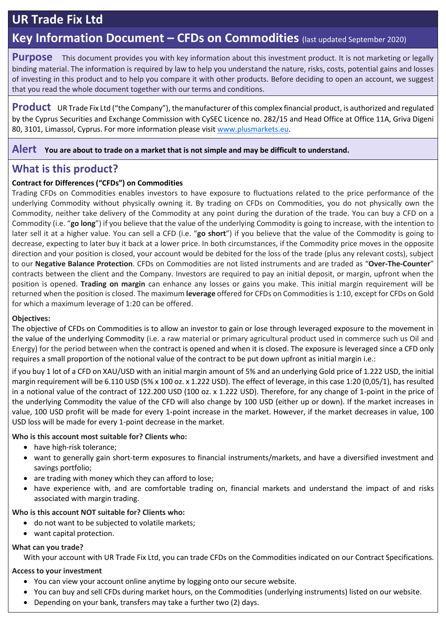# **UR Trade Fix Ltd**

# **Key Information Document – CFDs on Commodities** (last updated September 2020)

**Purpose** This document provides you with key information about this investment product. It is not marketing or legally binding material. The information is required by law to help you understand the nature, risks, costs, potential gains and losses of investing in this product and to help you compare it with other products. Before deciding to open an account, we suggest that you read the whole document together with our terms and conditions.

**Product** UR Trade Fix Ltd ("the Company"), the manufacturer of this complex financial product, is authorized and regulated by the Cyprus Securities and Exchange Commission with CySEC Licence no. 282/15 and Head Office at Office 11A, Griva Digeni 80, 3101, Limassol, Cyprus. For more information please visit [www.plusmarkets.eu.](http://www.plusmarkets.eu/)

**Alert You are about to trade on a market that is not simple and may be difficult to understand.**

# **What is this product?**

### **Contract for Differences ("CFDs") on Commodities**

Trading CFDs on Commodities enables investors to have exposure to fluctuations related to the price performance of the underlying Commodity without physically owning it. By trading on CFDs on Commodities, you do not physically own the Commodity, neither take delivery of the Commodity at any point during the duration of the trade. You can buy a CFD on a Commodity (i.e. "**go long**") if you believe that the value of the underlying Commodity is going to increase, with the intention to later sell it at a higher value. You can sell a CFD (i.e. "**go short**") if you believe that the value of the Commodity is going to decrease, expecting to later buy it back at a lower price. In both circumstances, if the Commodity price moves in the opposite direction and your position is closed, your account would be debited for the loss of the trade (plus any relevant costs), subject to our **Negative Balance Protection**. CFDs on Commodities are not listed instruments and are traded as "**Over-The-Counter**" contracts between the client and the Company. Investors are required to pay an initial deposit, or margin, upfront when the position is opened. **Trading on margin** can enhance any losses or gains you make. This initial margin requirement will be returned when the position is closed. The maximum **leverage** offered for CFDs on Commodities is 1:10, except for CFDs on Gold for which a maximum leverage of 1:20 can be offered.

### **Objectives:**

The objective of CFDs on Commodities is to allow an investor to gain or lose through leveraged exposure to the movement in the value of the underlying Commodity (i.e. a raw material or primary agricultural product used in commerce such us Oil and Energy) for the period between when the contract is opened and when it is closed. The exposure is leveraged since a CFD only requires a small proportion of the notional value of the contract to be put down upfront as initial margin i.e.:

if you buy 1 lot of a CFD on XAU/USD with an initial margin amount of 5% and an underlying Gold price of 1.222 USD, the initial margin requirement will be 6.110 USD (5% x 100 oz. x 1.222 USD). The effect of leverage, in this case 1:20 (0,05/1), has resulted in a notional value of the contract of 122.200 USD (100 oz. x 1.222 USD). Therefore, for any change of 1-point in the price of the underlying Commodity the value of the CFD will also change by 100 USD (either up or down). If the market increases in value, 100 USD profit will be made for every 1-point increase in the market. However, if the market decreases in value, 100 USD loss will be made for every 1-point decrease in the market.

#### **Who is this account most suitable for? Clients who:**

- have high-risk tolerance;
- want to generally gain short-term exposures to financial instruments/markets, and have a diversified investment and savings portfolio;
- are trading with money which they can afford to lose;
- have experience with, and are comfortable trading on, financial markets and understand the impact of and risks associated with margin trading.

### **Who is this account NOT suitable for? Clients who:**

- do not want to be subjected to volatile markets;
- want capital protection.

### **What can you trade?**

With your account with UR Trade Fix Ltd, you can trade CFDs on the Commodities indicated on our Contract Specifications.

### **Access to your investment**

- You can view your account online anytime by logging onto our secure website.
- You can buy and sell CFDs during market hours, on the Commodities (underlying instruments) listed on our website.
- Depending on your bank, transfers may take a further two (2) days.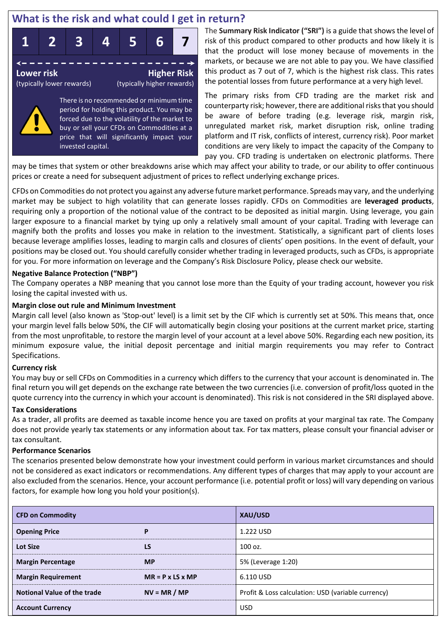# **What is the risk and what could I get in return?**



period for holding this product. You may be forced due to the volatility of the market to buy or sell your CFDs on Commodities at a price that will significantly impact your invested capital.

The **Summary Risk Indicator ("SRI")** is a guide that shows the level of risk of this product compared to other products and how likely it is that the product will lose money because of movements in the markets, or because we are not able to pay you. We have classified this product as 7 out of 7, which is the highest risk class. This rates the potential losses from future performance at a very high level.

The primary risks from CFD trading are the market risk and counterparty risk; however, there are additional risks that you should be aware of before trading (e.g. leverage risk, margin risk, unregulated market risk, market disruption risk, online trading platform and IT risk, conflicts of interest, currency risk). Poor market conditions are very likely to impact the capacity of the Company to pay you. CFD trading is undertaken on electronic platforms. There

may be times that system or other breakdowns arise which may affect your ability to trade, or our ability to offer continuous prices or create a need for subsequent adjustment of prices to reflect underlying exchange prices.

CFDs on Commodities do not protect you against any adverse future market performance. Spreads may vary, and the underlying market may be subject to high volatility that can generate losses rapidly. CFDs on Commodities are **leveraged products**, requiring only a proportion of the notional value of the contract to be deposited as initial margin. Using leverage, you gain larger exposure to a financial market by tying up only a relatively small amount of your capital. Trading with leverage can magnify both the profits and losses you make in relation to the investment. Statistically, a significant part of clients loses because leverage amplifies losses, leading to margin calls and closures of clients' open positions. In the event of default, your positions may be closed out. You should carefully consider whether trading in leveraged products, such as CFDs, is appropriate for you. For more information on leverage and the Company's Risk Disclosure Policy, please check our website.

#### **Negative Balance Protection ("NBP")**

The Company operates a NBP meaning that you cannot lose more than the Equity of your trading account, however you risk losing the capital invested with us.

#### **Margin close out rule and Minimum Investment**

Margin call level (also known as 'Stop-out' level) is a limit set by the CIF which is currently set at 50%. This means that, once your margin level falls below 50%, the CIF will automatically begin closing your positions at the current market price, starting from the most unprofitable, to restore the margin level of your account at a level above 50%. Regarding each new position, its minimum exposure value, the initial deposit percentage and initial margin requirements you may refer to Contract Specifications.

#### **Currency risk**

You may buy or sell CFDs on Commodities in a currency which differs to the currency that your account is denominated in. The final return you will get depends on the exchange rate between the two currencies (i.e. conversion of profit/loss quoted in the quote currency into the currency in which your account is denominated). This risk is not considered in the SRI displayed above.

#### **Tax Considerations**

As a trader, all profits are deemed as taxable income hence you are taxed on profits at your marginal tax rate. The Company does not provide yearly tax statements or any information about tax. For tax matters, please consult your financial adviser or tax consultant.

#### **Performance Scenarios**

The scenarios presented below demonstrate how your investment could perform in various market circumstances and should not be considered as exact indicators or recommendations. Any different types of charges that may apply to your account are also excluded from the scenarios. Hence, your account performance (i.e. potential profit or loss) will vary depending on various factors, for example how long you hold your position(s).

| <b>CFD on Commodity</b>            |                              | XAU/USD                                            |  |  |
|------------------------------------|------------------------------|----------------------------------------------------|--|--|
| <b>Opening Price</b>               | P                            | 1.222 USD                                          |  |  |
| <b>Lot Size</b>                    | <b>LS</b>                    | 100 oz.                                            |  |  |
| <b>Margin Percentage</b>           | <b>MP</b>                    | 5% (Leverage 1:20)                                 |  |  |
| <b>Margin Requirement</b>          | $MR = P \times LS \times MP$ | 6.110 USD                                          |  |  |
| <b>Notional Value of the trade</b> | $NV = MR / MP$               | Profit & Loss calculation: USD (variable currency) |  |  |
| <b>Account Currency</b>            |                              | <b>USD</b>                                         |  |  |